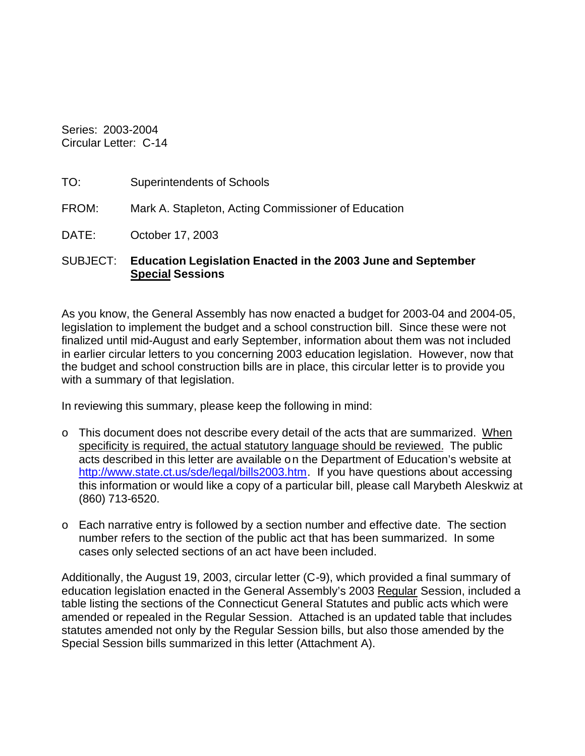Series: 2003-2004 Circular Letter: C-14

| Superintendents of Schools |
|----------------------------|
|                            |

FROM: Mark A. Stapleton, Acting Commissioner of Education

DATE: October 17, 2003

## SUBJECT: **Education Legislation Enacted in the 2003 June and September Special Sessions**

As you know, the General Assembly has now enacted a budget for 2003-04 and 2004-05, legislation to implement the budget and a school construction bill. Since these were not finalized until mid-August and early September, information about them was not included in earlier circular letters to you concerning 2003 education legislation. However, now that the budget and school construction bills are in place, this circular letter is to provide you with a summary of that legislation.

In reviewing this summary, please keep the following in mind:

- $\circ$  This document does not describe every detail of the acts that are summarized. When specificity is required, the actual statutory language should be reviewed. The public acts described in this letter are available on the Department of Education's website at http://www.state.ct.us/sde/legal/bills2003.htm. If you have questions about accessing this information or would like a copy of a particular bill, please call Marybeth Aleskwiz at (860) 713-6520.
- o Each narrative entry is followed by a section number and effective date. The section number refers to the section of the public act that has been summarized. In some cases only selected sections of an act have been included.

Additionally, the August 19, 2003, circular letter (C-9), which provided a final summary of education legislation enacted in the General Assembly's 2003 Regular Session, included a table listing the sections of the Connecticut General Statutes and public acts which were amended or repealed in the Regular Session. Attached is an updated table that includes statutes amended not only by the Regular Session bills, but also those amended by the Special Session bills summarized in this letter (Attachment A).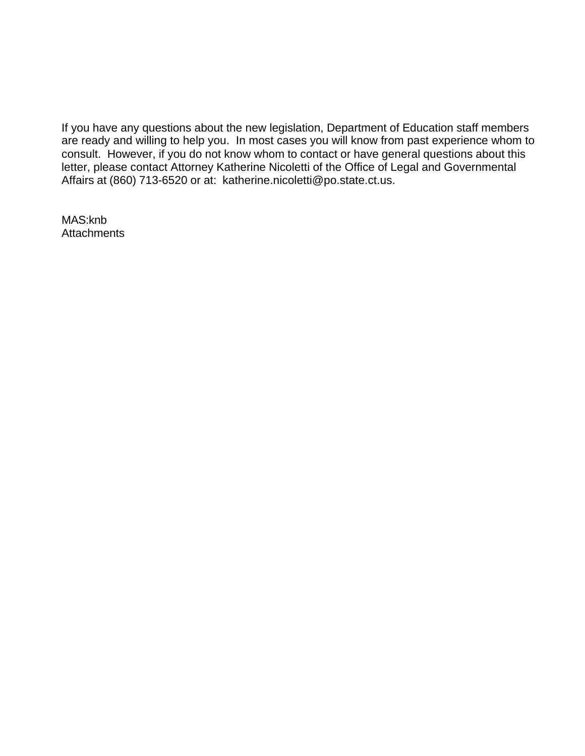If you have any questions about the new legislation, Department of Education staff members are ready and willing to help you. In most cases you will know from past experience whom to consult. However, if you do not know whom to contact or have general questions about this letter, please contact Attorney Katherine Nicoletti of the Office of Legal and Governmental Affairs at (860) 713-6520 or at: katherine.nicoletti@po.state.ct.us.

MAS:knb **Attachments**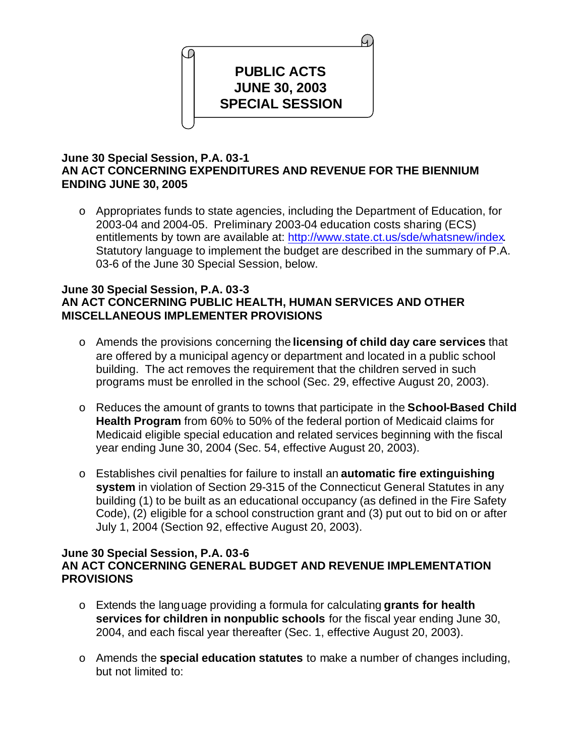

# **June 30 Special Session, P.A. 03-1 AN ACT CONCERNING EXPENDITURES AND REVENUE FOR THE BIENNIUM ENDING JUNE 30, 2005**

o Appropriates funds to state agencies, including the Department of Education, for 2003-04 and 2004-05. Preliminary 2003-04 education costs sharing (ECS) entitlements by town are available at: http://www.state.ct.us/sde/whatsnew/index. Statutory language to implement the budget are described in the summary of P.A. 03-6 of the June 30 Special Session, below.

## **June 30 Special Session, P.A. 03-3 AN ACT CONCERNING PUBLIC HEALTH, HUMAN SERVICES AND OTHER MISCELLANEOUS IMPLEMENTER PROVISIONS**

- o Amends the provisions concerning the **licensing of child day care services** that are offered by a municipal agency or department and located in a public school building. The act removes the requirement that the children served in such programs must be enrolled in the school (Sec. 29, effective August 20, 2003).
- o Reduces the amount of grants to towns that participate in the **School-Based Child Health Program** from 60% to 50% of the federal portion of Medicaid claims for Medicaid eligible special education and related services beginning with the fiscal year ending June 30, 2004 (Sec. 54, effective August 20, 2003).
- o Establishes civil penalties for failure to install an **automatic fire extinguishing system** in violation of Section 29-315 of the Connecticut General Statutes in any building (1) to be built as an educational occupancy (as defined in the Fire Safety Code), (2) eligible for a school construction grant and (3) put out to bid on or after July 1, 2004 (Section 92, effective August 20, 2003).

## **June 30 Special Session, P.A. 03-6 AN ACT CONCERNING GENERAL BUDGET AND REVENUE IMPLEMENTATION PROVISIONS**

- o Extends the language providing a formula for calculating **grants for health services for children in nonpublic schools** for the fiscal year ending June 30, 2004, and each fiscal year thereafter (Sec. 1, effective August 20, 2003).
- o Amends the **special education statutes** to make a number of changes including, but not limited to: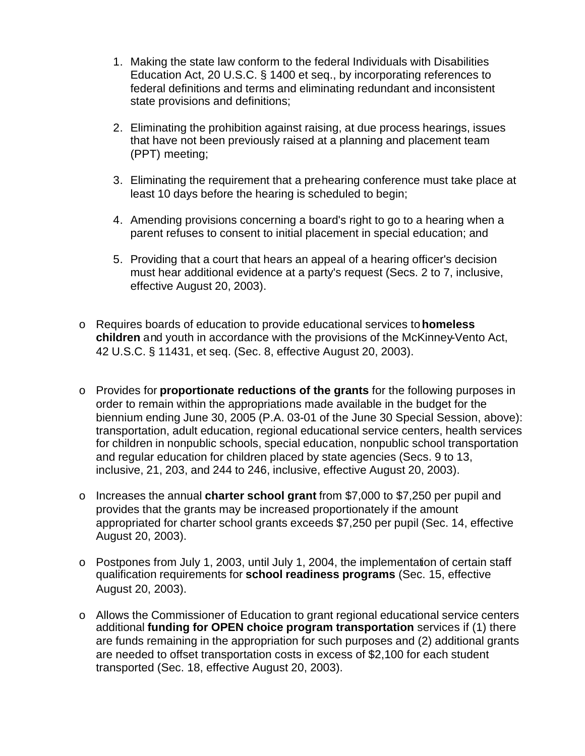- 1. Making the state law conform to the federal Individuals with Disabilities Education Act, 20 U.S.C. § 1400 et seq., by incorporating references to federal definitions and terms and eliminating redundant and inconsistent state provisions and definitions;
- 2. Eliminating the prohibition against raising, at due process hearings, issues that have not been previously raised at a planning and placement team (PPT) meeting;
- 3. Eliminating the requirement that a prehearing conference must take place at least 10 days before the hearing is scheduled to begin;
- 4. Amending provisions concerning a board's right to go to a hearing when a parent refuses to consent to initial placement in special education; and
- 5. Providing that a court that hears an appeal of a hearing officer's decision must hear additional evidence at a party's request (Secs. 2 to 7, inclusive, effective August 20, 2003).
- o Requires boards of education to provide educational services to **homeless children** and youth in accordance with the provisions of the McKinney-Vento Act, 42 U.S.C. § 11431, et seq. (Sec. 8, effective August 20, 2003).
- o Provides for **proportionate reductions of the grants** for the following purposes in order to remain within the appropriations made available in the budget for the biennium ending June 30, 2005 (P.A. 03-01 of the June 30 Special Session, above): transportation, adult education, regional educational service centers, health services for children in nonpublic schools, special education, nonpublic school transportation and regular education for children placed by state agencies (Secs. 9 to 13, inclusive, 21, 203, and 244 to 246, inclusive, effective August 20, 2003).
- o Increases the annual **charter school grant** from \$7,000 to \$7,250 per pupil and provides that the grants may be increased proportionately if the amount appropriated for charter school grants exceeds \$7,250 per pupil (Sec. 14, effective August 20, 2003).
- o Postpones from July 1, 2003, until July 1, 2004, the implementation of certain staff qualification requirements for **school readiness programs** (Sec. 15, effective August 20, 2003).
- o Allows the Commissioner of Education to grant regional educational service centers additional **funding for OPEN choice program transportation** services if (1) there are funds remaining in the appropriation for such purposes and (2) additional grants are needed to offset transportation costs in excess of \$2,100 for each student transported (Sec. 18, effective August 20, 2003).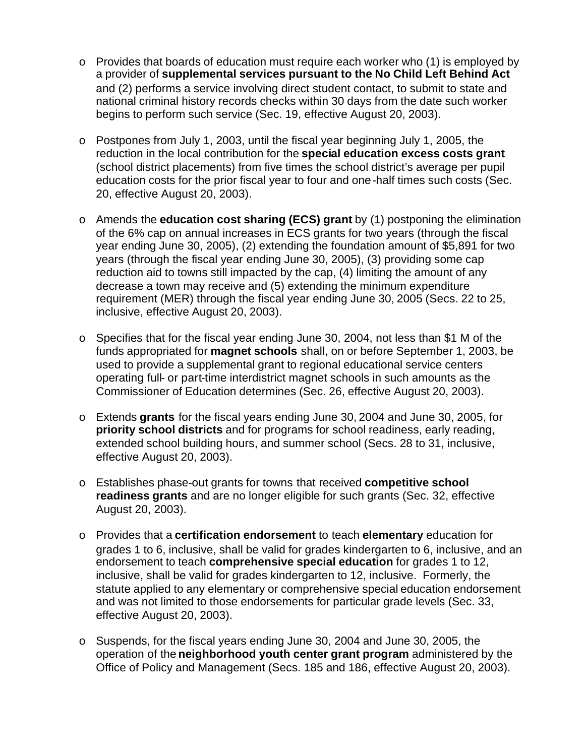- o Provides that boards of education must require each worker who (1) is employed by a provider of **supplemental services pursuant to the No Child Left Behind Act**  and (2) performs a service involving direct student contact, to submit to state and national criminal history records checks within 30 days from the date such worker begins to perform such service (Sec. 19, effective August 20, 2003).
- o Postpones from July 1, 2003, until the fiscal year beginning July 1, 2005, the reduction in the local contribution for the **special education excess costs grant**  (school district placements) from five times the school district's average per pupil education costs for the prior fiscal year to four and one-half times such costs (Sec. 20, effective August 20, 2003).
- o Amends the **education cost sharing (ECS) grant** by (1) postponing the elimination of the 6% cap on annual increases in ECS grants for two years (through the fiscal year ending June 30, 2005), (2) extending the foundation amount of \$5,891 for two years (through the fiscal year ending June 30, 2005), (3) providing some cap reduction aid to towns still impacted by the cap, (4) limiting the amount of any decrease a town may receive and (5) extending the minimum expenditure requirement (MER) through the fiscal year ending June 30, 2005 (Secs. 22 to 25, inclusive, effective August 20, 2003).
- o Specifies that for the fiscal year ending June 30, 2004, not less than \$1 M of the funds appropriated for **magnet schools** shall, on or before September 1, 2003, be used to provide a supplemental grant to regional educational service centers operating full- or part-time interdistrict magnet schools in such amounts as the Commissioner of Education determines (Sec. 26, effective August 20, 2003).
- o Extends **grants** for the fiscal years ending June 30, 2004 and June 30, 2005, for **priority school districts** and for programs for school readiness, early reading, extended school building hours, and summer school (Secs. 28 to 31, inclusive, effective August 20, 2003).
- o Establishes phase-out grants for towns that received **competitive school readiness grants** and are no longer eligible for such grants (Sec. 32, effective August 20, 2003).
- o Provides that a **certification endorsement** to teach **elementary** education for grades 1 to 6, inclusive, shall be valid for grades kindergarten to 6, inclusive, and an endorsement to teach **comprehensive special education** for grades 1 to 12, inclusive, shall be valid for grades kindergarten to 12, inclusive. Formerly, the statute applied to any elementary or comprehensive special education endorsement and was not limited to those endorsements for particular grade levels (Sec. 33, effective August 20, 2003).
- o Suspends, for the fiscal years ending June 30, 2004 and June 30, 2005, the operation of the **neighborhood youth center grant program** administered by the Office of Policy and Management (Secs. 185 and 186, effective August 20, 2003).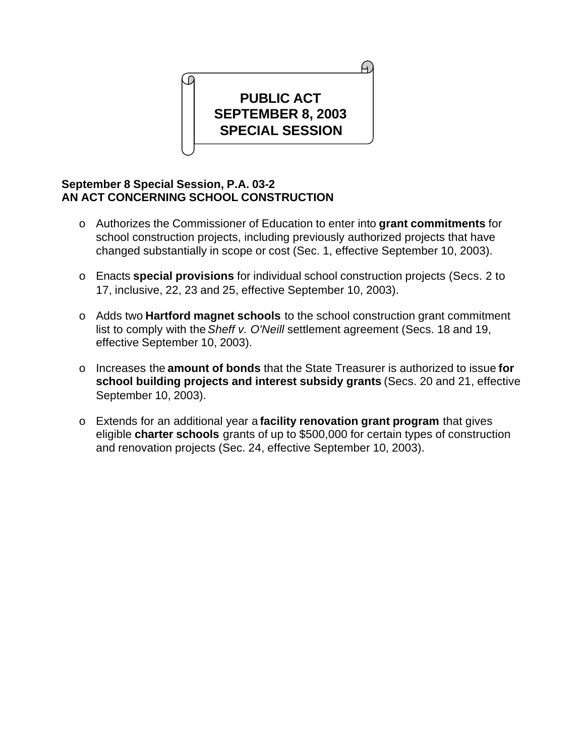

# **September 8 Special Session, P.A. 03-2 AN ACT CONCERNING SCHOOL CONSTRUCTION**

- o Authorizes the Commissioner of Education to enter into **grant commitments** for school construction projects, including previously authorized projects that have changed substantially in scope or cost (Sec. 1, effective September 10, 2003).
- o Enacts **special provisions** for individual school construction projects (Secs. 2 to 17, inclusive, 22, 23 and 25, effective September 10, 2003).
- o Adds two **Hartford magnet schools** to the school construction grant commitment list to comply with the *Sheff v. O'Neill* settlement agreement (Secs. 18 and 19, effective September 10, 2003).
- o Increases the **amount of bonds** that the State Treasurer is authorized to issue **for school building projects and interest subsidy grants** (Secs. 20 and 21, effective September 10, 2003).
- o Extends for an additional year a **facility renovation grant program** that gives eligible **charter schools** grants of up to \$500,000 for certain types of construction and renovation projects (Sec. 24, effective September 10, 2003).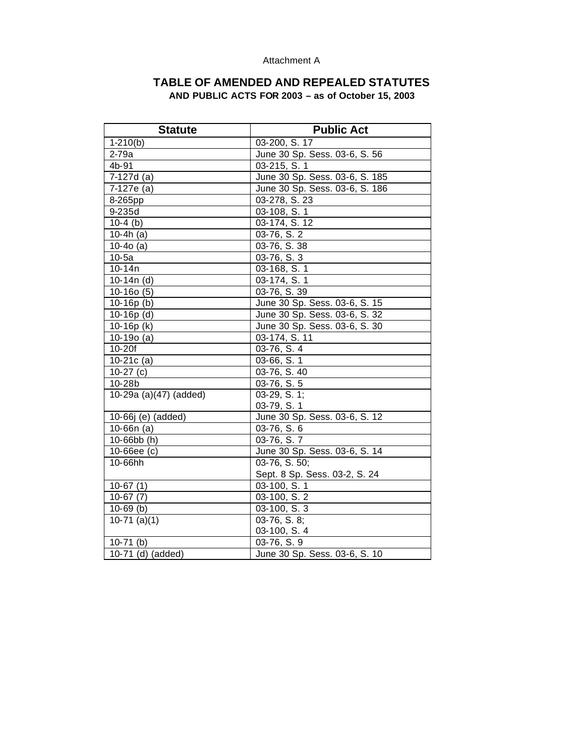#### Attachment A

## **TABLE OF AMENDED AND REPEALED STATUTES AND PUBLIC ACTS FOR 2003 – as of October 15, 2003**

| <b>Statute</b>         | <b>Public Act</b>              |
|------------------------|--------------------------------|
| $1-210(b)$             | 03-200, S. 17                  |
| 2-79a                  | June 30 Sp. Sess. 03-6, S. 56  |
| 4b-91                  | 03-215, S. 1                   |
| 7-127d (a)             | June 30 Sp. Sess. 03-6, S. 185 |
| 7-127e (a)             | June 30 Sp. Sess. 03-6, S. 186 |
| 8-265pp                | 03-278, S. 23                  |
| 9-235d                 | 03-108, S. 1                   |
| $10-4$ (b)             | 03-174, S. 12                  |
| 10-4h $(a)$            | 03-76, S. 2                    |
| $10-40$ (a)            | 03-76, S. 38                   |
| $10-5a$                | 03-76, S. 3                    |
| 10-14n                 | 03-168, S. 1                   |
| 10-14 $n(d)$           | 03-174, S. 1                   |
| $10-160(5)$            | 03-76, S. 39                   |
| $10-16p(b)$            | June 30 Sp. Sess. 03-6, S. 15  |
| $10-16p$ (d)           | June 30 Sp. Sess. 03-6, S. 32  |
| 10-16 $p(k)$           | June 30 Sp. Sess. 03-6, S. 30  |
| $10-190$ (a)           | 03-174, S. 11                  |
| $10-20f$               | 03-76, S. 4                    |
| $10-21c(a)$            | 03-66, S. 1                    |
| $10-27$ (c)            | 03-76, S. 40                   |
| 10-28b                 | $03-76, S.5$                   |
| 10-29a (a)(47) (added) | $03-29, S. 1;$                 |
|                        | 03-79, S. 1                    |
| 10-66j (e) (added)     | June 30 Sp. Sess. 03-6, S. 12  |
| $10-66n$ (a)           | 03-76, S. 6                    |
| $10 - 66$ bb $(h)$     | 03-76, S.7                     |
| $10 - 66ee$ (c)        | June 30 Sp. Sess. 03-6, S. 14  |
| 10-66hh                | 03-76, S. 50;                  |
|                        | Sept. 8 Sp. Sess. 03-2, S. 24  |
| $10-67(1)$             | 03-100, S. 1                   |
| $10-67(7)$             | 03-100, S. 2                   |
| $10-69$ (b)            | 03-100, S. 3                   |
| $10-71$ (a)(1)         | 03-76, S. 8;                   |
|                        | 03-100, S. 4                   |
| $10-71$ (b)            | 03-76, S. 9                    |
| 10-71 (d) (added)      | June 30 Sp. Sess. 03-6, S. 10  |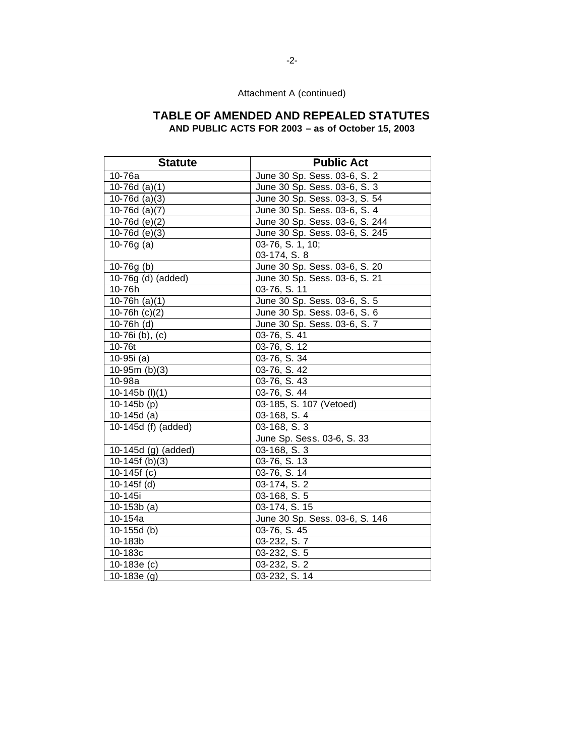## **TABLE OF AMENDED AND REPEALED STATUTES AND PUBLIC ACTS FOR 2003 – as of October 15, 2003**

Statute **Public Act** 10-76a June 30 Sp. Sess. 03-6, S. 2 10-76d (a)(1) June 30 Sp. Sess. 03-6, S. 3 10-76d (a)(3) June 30 Sp. Sess. 03-3, S. 54 10-76d (a)(7) June 30 Sp. Sess. 03-6, S. 4 10-76d (e)(2) June 30 Sp. Sess. 03-6, S. 244 10-76d (e)(3) June 30 Sp. Sess. 03-6, S. 245 10-76g (a) 03-76, S. 1, 10; 03-174, S. 8 10-76g (b) June 30 Sp. Sess. 03-6, S. 20 10-76g (d) (added) June 30 Sp. Sess. 03-6, S. 21 10-76h 03-76, S. 11 10-76h (a)(1) June 30 Sp. Sess. 03-6, S. 5 10-76h (c)(2) June 30 Sp. Sess. 03-6, S. 6 10-76h (d) June 30 Sp. Sess. 03-6, S. 7 10-76i (b), (c) 03-76, S. 41 10-76t 03-76, S. 12 10-95i (a) 03-76, S. 34 10-95m (b)(3) 3-76, S. 42 10-98a | 03-76, S. 43 10-145b (l)(1) 03-76, S. 44 10-145b (p) 03-185, S. 107 (Vetoed) 10-145d (a) 03-168, S. 4 10-145d (f) (added) 03-168, S. 3 June Sp. Sess. 03-6, S. 33 10-145d (g) (added) 03-168, S. 3 10-145f (b)(3) 33-76, S. 13 10-145f (c) 03-76, S. 14 10-145f (d) 03-174, S. 2 10-145i 03-168, S. 5 10-153b (a) 03-174, S. 15 10-154a **June 30 Sp. Sess. 03-6, S. 146** 10-155d (b) 03-76, S. 45 10-183b 03-232, S. 7 10-183c 03-232, S. 5 10-183e (c)  $\begin{array}{|c|c|c|c|c|} \hline 103-232, S. 2 \hline \end{array}$ 10-183e (g) 03-232, S. 14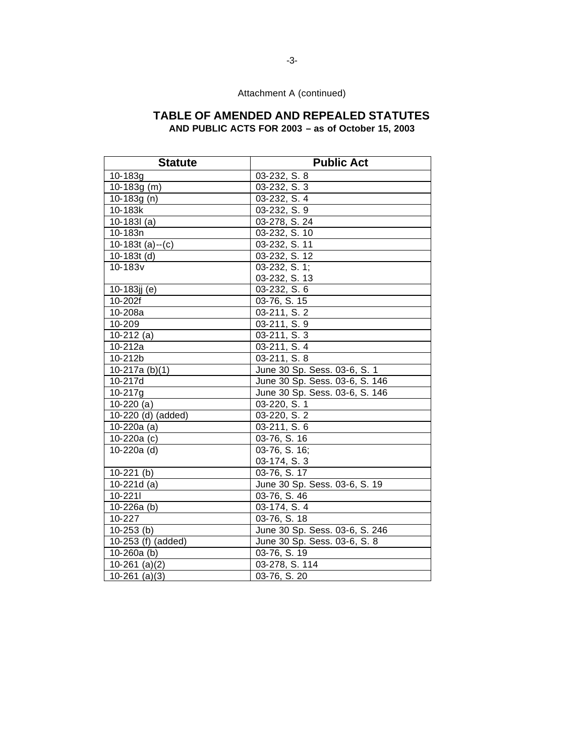# **TABLE OF AMENDED AND REPEALED STATUTES**

**AND PUBLIC ACTS FOR 2003 – as of October 15, 2003** 

| <b>Statute</b>     | <b>Public Act</b>              |
|--------------------|--------------------------------|
| 10-183g            | 03-232, S. 8                   |
| $10-183g(m)$       | 03-232, S. 3                   |
| 10-183g $(n)$      | 03-232, S. 4                   |
| 10-183k            | 03-232, S. 9                   |
| $10-1831$ (a)      | 03-278, S. 24                  |
| 10-183n            | 03-232, S. 10                  |
| 10-183t (a)--(c)   | 03-232, S. 11                  |
| $10-183t$ (d)      | 03-232, S. 12                  |
| 10-183v            | 03-232, S. 1;                  |
|                    | 03-232, S. 13                  |
| 10-183jj (e)       | 03-232, S. 6                   |
| 10-202f            | 03-76, S. 15                   |
| 10-208a            | 03-211, S. 2                   |
| 10-209             | 03-211, S. 9                   |
| $10-212$ (a)       | 03-211, S. 3                   |
| 10-212a            | 03-211, S. 4                   |
| 10-212b            | 03-211, S. 8                   |
| 10-217a $(b)(1)$   | June 30 Sp. Sess. 03-6, S. 1   |
| 10-217d            | June 30 Sp. Sess. 03-6, S. 146 |
| 10-217g            | June 30 Sp. Sess. 03-6, S. 146 |
| $10-220(a)$        | 03-220, S. 1                   |
| 10-220 (d) (added) | 03-220, S. 2                   |
| $10-220a$ (a)      | 03-211, S. 6                   |
| 10-220a (c)        | 03-76, S. 16                   |
| 10-220a (d)        | 03-76, S. 16;                  |
|                    | 03-174, S. 3                   |
| $10-221$ (b)       | 03-76, S. 17                   |
| 10-221d (a)        | June 30 Sp. Sess. 03-6, S. 19  |
| 10-2211            | 03-76, S. 46                   |
| 10-226a (b)        | 03-174, S. 4                   |
| 10-227             | 03-76, S. 18                   |
| $10-253$ (b)       | June 30 Sp. Sess. 03-6, S. 246 |
| 10-253 (f) (added) | June 30 Sp. Sess. 03-6, S. 8   |
| 10-260a $(b)$      | 03-76, S. 19                   |
| $10-261$ (a)(2)    | 03-278, S. 114                 |
| $10-261$ (a)(3)    | 03-76, S. 20                   |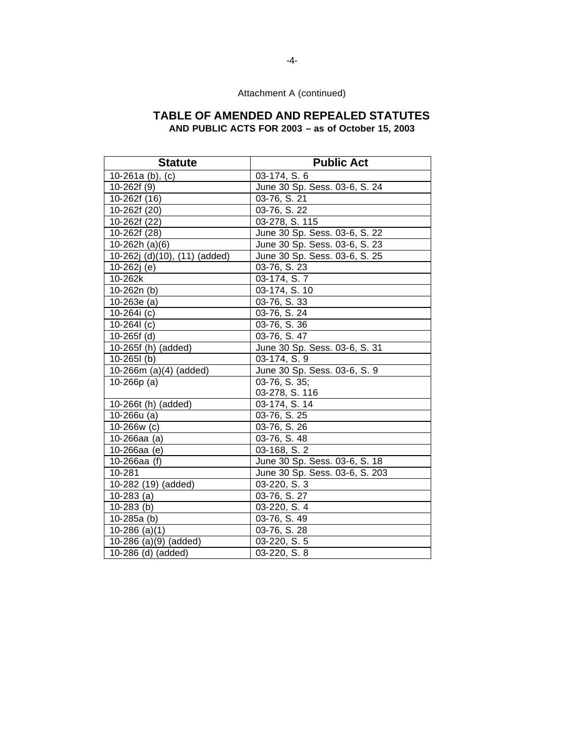## **TABLE OF AMENDED AND REPEALED STATUTES AND PUBLIC ACTS FOR 2003 – as of October 15, 2003**

Statute **Public Act** 10-261a (b), (c) 03-174, S. 6 10-262f (9) June 30 Sp. Sess. 03-6, S. 24 10-262f (16) 03-76, S. 21 10-262f (20) 03-76, S. 22 10-262f (22) 03-278, S. 115 10-262f (28) June 30 Sp. Sess. 03-6, S. 22 10-262h (a)(6) June 30 Sp. Sess. 03-6, S. 23 10-262j (d)(10), (11) (added) June 30 Sp. Sess. 03-6, S. 25 10-262j (e) 03-76, S. 23 10-262k | 03-174, S. 7 10-262n (b) 03-174, S. 10 10-263e (a) 03-76, S. 33 10-264i (c) 03-76, S. 24 10-264l (c) 03-76, S. 36 10-265f (d) 03-76, S. 47 10-265f (h) (added) June 30 Sp. Sess. 03-6, S. 31 10-265l (b) 03-174, S. 9 10-266m (a)(4) (added) June 30 Sp. Sess. 03-6, S. 9 10-266p (a) 03-76, S. 35; 03-278, S. 116 10-266t (h) (added) 03-174, S. 14 10-266u (a) 03-76, S. 25 10-266w (c) 03-76, S. 26 10-266aa (a) 03-76, S. 48 10-266aa (e) 03-168, S. 2 10-266aa (f) June 30 Sp. Sess. 03-6, S. 18 10-281 June 30 Sp. Sess. 03-6, S. 203 10-282 (19) (added) 03-220, S. 3 10-283 (a) 03-76, S. 27 10-283 (b) 03-220, S. 4 10-285a (b) 03-76, S. 49 10-286 (a)(1) 03-76, S. 28 10-286 (a)(9) (added) 03-220, S. 5 10-286 (d) (added) 03-220, S. 8